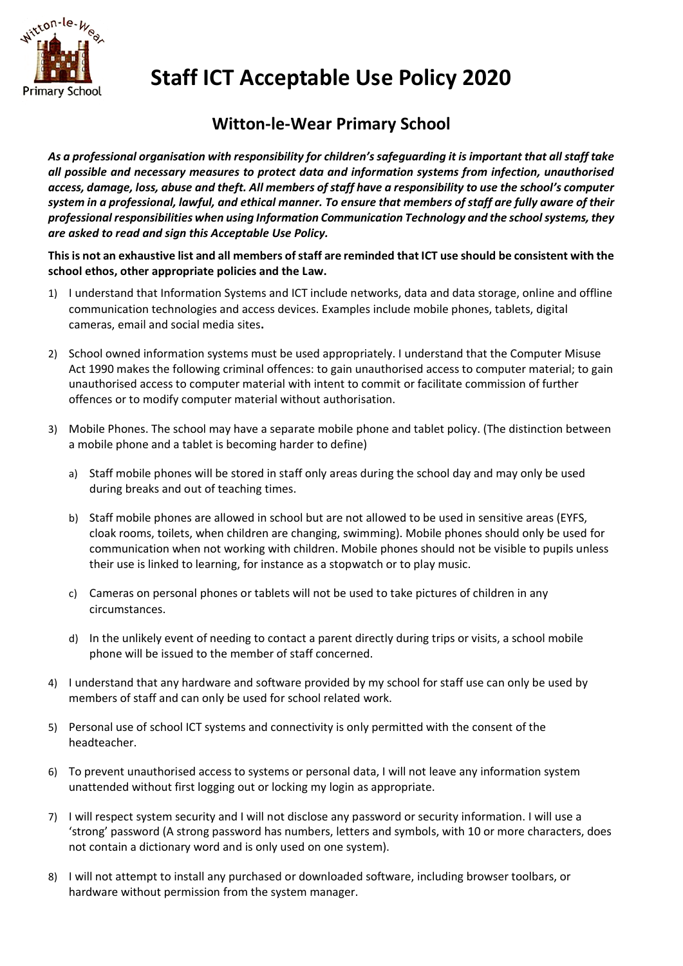

**Staff ICT Acceptable Use Policy 2020**

## **Witton-le-Wear Primary School**

*As a professional organisation with responsibility for children's safeguarding it is important that all staff take all possible and necessary measures to protect data and information systems from infection, unauthorised access, damage, loss, abuse and theft. All members of staff have a responsibility to use the school's computer system in a professional, lawful, and ethical manner. To ensure that members of staff are fully aware of their professional responsibilities when using Information Communication Technology and the school systems, they are asked to read and sign this Acceptable Use Policy.* 

**This is not an exhaustive list and all members of staff are reminded that ICT use should be consistent with the school ethos, other appropriate policies and the Law.**

- 1) I understand that Information Systems and ICT include networks, data and data storage, online and offline communication technologies and access devices. Examples include mobile phones, tablets, digital cameras, email and social media sites**.**
- 2) School owned information systems must be used appropriately. I understand that the Computer Misuse Act 1990 makes the following criminal offences: to gain unauthorised access to computer material; to gain unauthorised access to computer material with intent to commit or facilitate commission of further offences or to modify computer material without authorisation.
- 3) Mobile Phones. The school may have a separate mobile phone and tablet policy. (The distinction between a mobile phone and a tablet is becoming harder to define)
	- a) Staff mobile phones will be stored in staff only areas during the school day and may only be used during breaks and out of teaching times.
	- b) Staff mobile phones are allowed in school but are not allowed to be used in sensitive areas (EYFS, cloak rooms, toilets, when children are changing, swimming). Mobile phones should only be used for communication when not working with children. Mobile phones should not be visible to pupils unless their use is linked to learning, for instance as a stopwatch or to play music.
	- c) Cameras on personal phones or tablets will not be used to take pictures of children in any circumstances.
	- d) In the unlikely event of needing to contact a parent directly during trips or visits, a school mobile phone will be issued to the member of staff concerned.
- 4) I understand that any hardware and software provided by my school for staff use can only be used by members of staff and can only be used for school related work.
- 5) Personal use of school ICT systems and connectivity is only permitted with the consent of the headteacher.
- 6) To prevent unauthorised access to systems or personal data, I will not leave any information system unattended without first logging out or locking my login as appropriate.
- 7) I will respect system security and I will not disclose any password or security information. I will use a 'strong' password (A strong password has numbers, letters and symbols, with 10 or more characters, does not contain a dictionary word and is only used on one system).
- 8) I will not attempt to install any purchased or downloaded software, including browser toolbars, or hardware without permission from the system manager.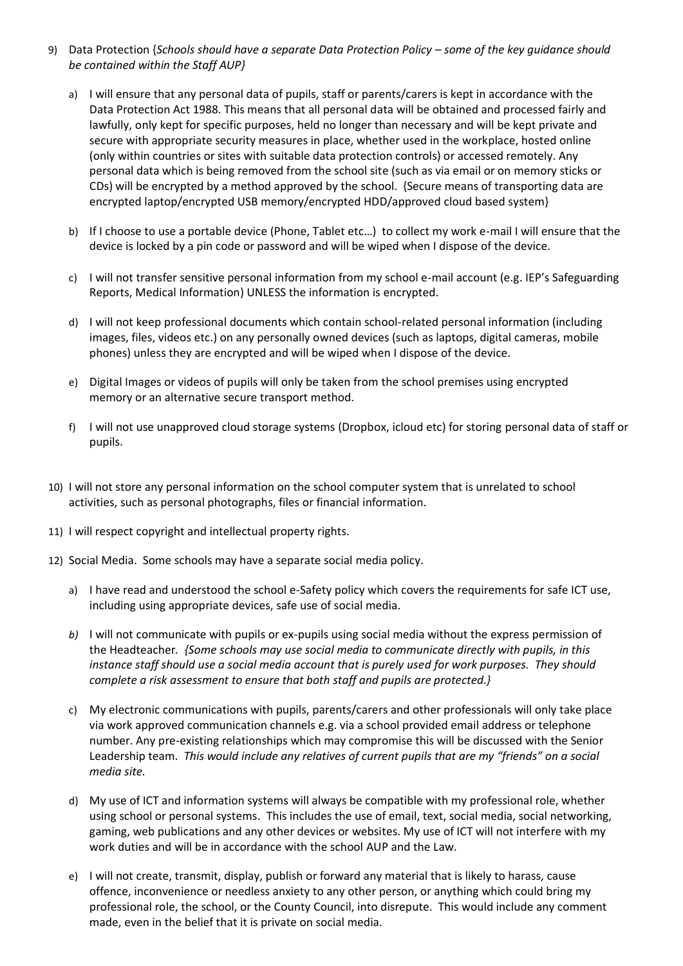- 9) Data Protection {*Schools should have a separate Data Protection Policy some of the key quidance should be contained within the Staff AUP}*
	- a) I will ensure that any personal data of pupils, staff or parents/carers is kept in accordance with the Data Protection Act 1988. This means that all personal data will be obtained and processed fairly and lawfully, only kept for specific purposes, held no longer than necessary and will be kept private and secure with appropriate security measures in place, whether used in the workplace, hosted online (only within countries or sites with suitable data protection controls) or accessed remotely. Any personal data which is being removed from the school site (such as via email or on memory sticks or CDs) will be encrypted by a method approved by the school. {Secure means of transporting data are encrypted laptop/encrypted USB memory/encrypted HDD/approved cloud based system}
	- b) If I choose to use a portable device (Phone, Tablet etc…) to collect my work e-mail I will ensure that the device is locked by a pin code or password and will be wiped when I dispose of the device.
	- c) I will not transfer sensitive personal information from my school e-mail account (e.g. IEP's Safeguarding Reports, Medical Information) UNLESS the information is encrypted.
	- d) I will not keep professional documents which contain school-related personal information (including images, files, videos etc.) on any personally owned devices (such as laptops, digital cameras, mobile phones) unless they are encrypted and will be wiped when I dispose of the device.
	- e) Digital Images or videos of pupils will only be taken from the school premises using encrypted memory or an alternative secure transport method.
	- f) I will not use unapproved cloud storage systems (Dropbox, icloud etc) for storing personal data of staff or pupils.
- 10) I will not store any personal information on the school computer system that is unrelated to school activities, such as personal photographs, files or financial information.
- 11) I will respect copyright and intellectual property rights.
- 12) Social Media. Some schools may have a separate social media policy.
	- a) I have read and understood the school e-Safety policy which covers the requirements for safe ICT use, including using appropriate devices, safe use of social media.
	- *b)* I will not communicate with pupils or ex-pupils using social media without the express permission of the Headteacher*. {Some schools may use social media to communicate directly with pupils, in this instance staff should use a social media account that is purely used for work purposes. They should complete a risk assessment to ensure that both staff and pupils are protected.}*
	- c) My electronic communications with pupils, parents/carers and other professionals will only take place via work approved communication channels e.g. via a school provided email address or telephone number. Any pre-existing relationships which may compromise this will be discussed with the Senior Leadership team. *This would include any relatives of current pupils that are my "friends" on a social media site.*
	- d) My use of ICT and information systems will always be compatible with my professional role, whether using school or personal systems. This includes the use of email, text, social media, social networking, gaming, web publications and any other devices or websites. My use of ICT will not interfere with my work duties and will be in accordance with the school AUP and the Law.
	- e) I will not create, transmit, display, publish or forward any material that is likely to harass, cause offence, inconvenience or needless anxiety to any other person, or anything which could bring my professional role, the school, or the County Council, into disrepute. This would include any comment made, even in the belief that it is private on social media.